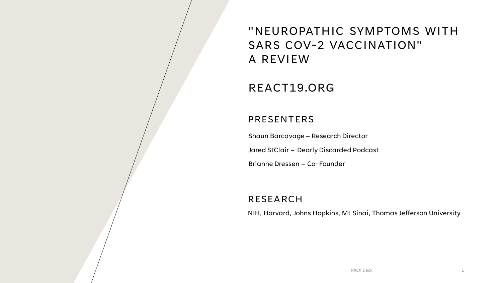## "NEUROPATHIC SYMPTOMS WITH SARS COV-2 VACCINATION" A REVIEW

### REACT19.ORG

#### PRESENTERS

Shaun Barcavage – Research Director Jared StClair – Dearly Discarded Podcast Brianne Dressen – Co-Founder

#### RESEARCH

NIH, Harvard, Johns Hopkins, Mt Sinai, Thomas Jefferson University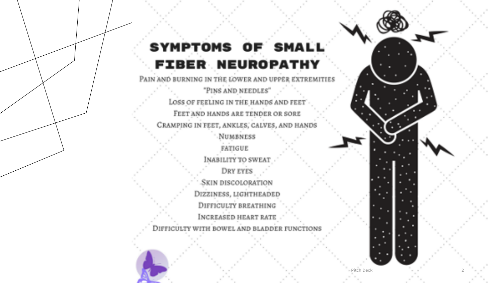## SYMPTOMS OF SMALL **FIBER NEUROPATHY**

PAIN AND BURNING IN THE LOWER AND UPPER EXTREMITIES "PINS AND NEEDLES" LOSS OF FEELING IN THE HANDS AND FEET FEET AND HANDS ARE TENDER OR SORE CRAMPING IN FEET, ANKLES, CALVES, AND HANDS **NUMBNESS FATIGUE** INABILITY TO SWEAT DRY EYES SKIN DISCOLORATION DIZZINESS, LIGHTHEADED DIFFICULTY BREATHING INCREASED HEART RATE

DIFFICULTY WITH BOWEL AND BLADDER FUNCTIONS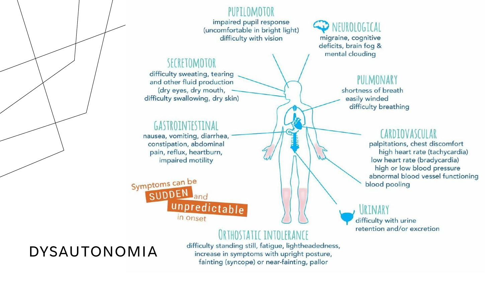#### PUPTIOMOTOR

impaired pupil response (uncomfortable in bright light) difficulty with vision

### SECRETOMOTOR

difficulty sweating, tearing and other fluid production (dry eyes, dry mouth, difficulty swallowing, dry skin)

## GASTROINTESTINAL

nausea, vomiting, diarrhea, constipation, abdominal pain, reflux, heartburn, impaired motility

Symptoms can be SUDDEN land unpredictable in onset

## THOSTATIC INTOLERANCE

difficulty standing still, fatigue, lightheadedness, increase in symptoms with upright posture, fainting (syncope) or near-fainting, pallor

NEUROLOGICAL migraine, cognitive deficits, brain fog & mental clouding

#### PULMONARY

shortness of breath easily winded difficulty breathing

#### CARDIOVASCUI AR

palpitations, chest discomfort high heart rate (tachycardia) low heart rate (bradycardia) high or low blood pressure abnormal blood vessel functioning blood pooling

URINARY difficulty with urine retention and/or excretion

## DYSAUTONOMIA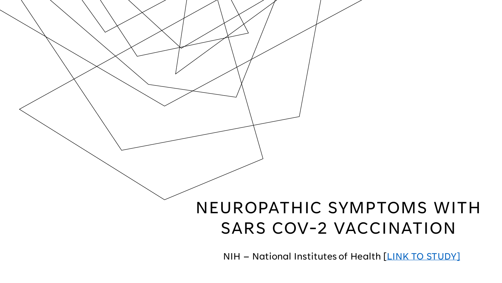# NEUROPATHIC SYMPTOMS WITH SARS COV-2 VACCINATION

NIH – National Institutes of Health [\[LINK TO STUDY\]](https://www.medrxiv.org/content/10.1101/2022.05.16.22274439v1.full.pdf)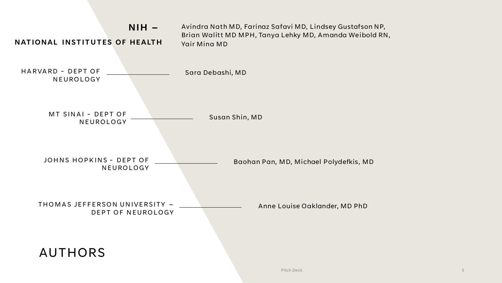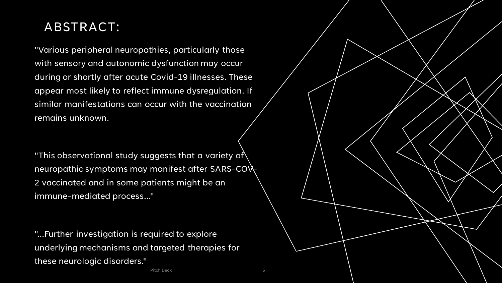## ABSTRACT:

"Various peripheral neuropathies, particularly those with sensory and autonomic dysfunction may occur during or shortly after acute Covid-19 illnesses. These appear most likely to reflect immune dysregulation. If similar manifestations can occur with the vaccination remains unknown.

"This observational study suggests that a variety of  $\setminus$ neuropathic symptoms may manifest after SARS-CO $\lambda$ 2 vaccinated and in some patients might be an immune-mediated process..."

"...Further investigation is required to explore underlying mechanisms and targeted therapies for these neurologic disorders."

Pitch Deck 6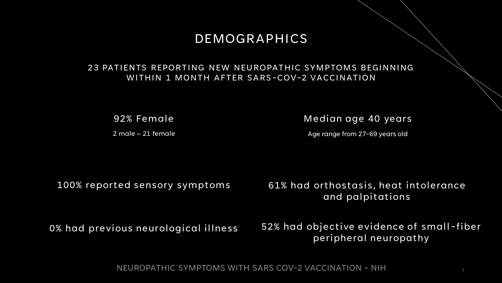### DEMOGRAPHICS

#### 23 PATIENTS REPORTING NEW NEUROPATHIC SYMPTOMS BEGINNING WITHIN 1 MONTH AFTER SARS-COV-2 VACCINATION

92% Female

2 male – 21 female

Median age 40 years

Age range from 27-69 years old

100% reported sensory symptoms

61% had orthostasis, heat intolerance and palpitations

0% had previous neurological illness 52% had objective evidence of small-fiber peripheral neuropathy

NEUROPATHIC SYMPTOMS WITH SARS COV-2 VACCINATION - NIH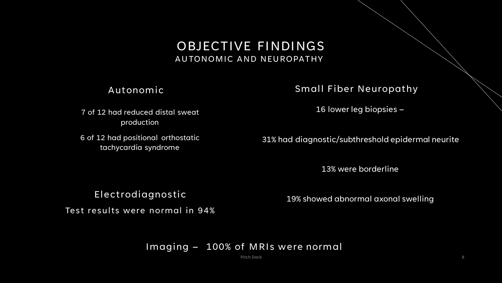OBJECTIVE FINDINGS AUTONOMIC AND NEUROPATHY

Autonomic Small Fiber Neuropathy

7 of 12 had reduced distal sweat production

6 of 12 had positional orthostatic tachycardia syndrome

16 lower leg biopsies –

31% had diagnostic/subthreshold epidermal neurite

13% were borderline

Electrodiagnostic

Test results were normal in 94%

19% showed abnormal axonal swelling

#### Imaging – 100% of MRIs were normal

Pitch Deck 8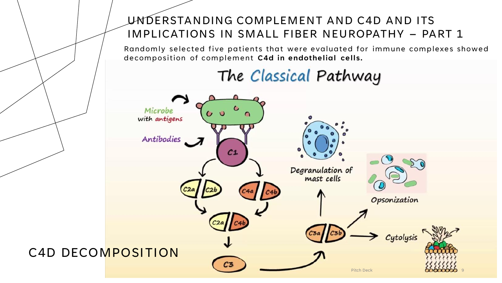## UNDERSTANDING COMPLEMENT AND C4D AND ITS IMPLICATIONS IN SMALL FIBER NEUROPATHY – PART 1

Randomly selected five patients that were evaluated for immune complexes showed decomposition of complement **C4d in endothelial cells.**

## The Classical Pathway

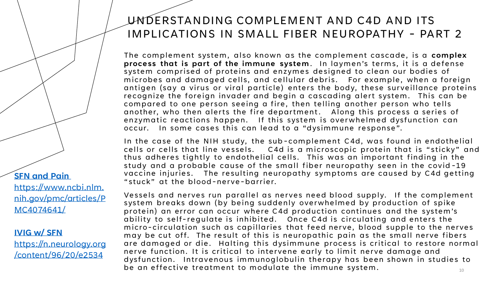### UNDERSTANDING COMPLEMENT AND C4D AND ITS IMPLICATIONS IN SMALL FIBER NEUROPATHY - PART 2

The complement system, also known as the complement cascade, is a **complex**  process that is part of the immune system. In laymen's terms, it is a defense system comprised of proteins and enzymes designed to clean our bodies of microbes and damaged cells, and cellular debris. For example, when a foreign antigen (say a virus or viral particle) enters the body, these surveillance proteins recognize the foreign invader and begin a cascading alert system. This can be compared to one person seeing a fire, then telling another person who tells another, who then alerts the fire department. Along this process a series of enzymatic reactions happen. If this system is overwhelmed dysfunction can occur. In some cases this can lead to a "dysimmune response".

In the case of the NIH study, the sub -complement C4d, was found in endothelial cells or cells that line vessels. C4d is a microscopic protein that is "sticky" and thus adheres tightly to endothelial cells. This was an important finding in the study and a probable cause of the small fiber neuropathy seen in the covid -19 vaccine injuries. The resulting neuropathy symptoms are caused by C4d getting "stuck" at the blood-nerve-barrier.

Vessels and nerves run parallel as nerves need blood supply. If the complement system breaks down (by being suddenly overwhelmed by production of spike protein) an error can occur where C4d production continues and the system's ability to self-regulate is inhibited. Once C4d is circulating and enters the micro-circulation such as capillaries that feed nerve, blood supple to the nerves may be cut off. The result of this is neuropathic pain as the small nerve fibers are damaged or die. Halting this dysimmune process is critical to restore normal nerve function. It is critical to intervene early to limit nerve damage and dysfunction. Intravenous immunoglobulin therapy has been shown in studies to be an effective treatment to modulate the immune system.  $10^{10}$ 

**[SFN and Pain](https://www.ncbi.nlm.nih.gov/pmc/articles/PMC4074641/)** https://www.ncbi.nlm. [nih.gov/pmc/articles/P](https://www.ncbi.nlm.nih.gov/pmc/articles/PMC4074641/) MC4074641/

#### **IVIG w/ SFN**

[https://n.neurology.org](https://n.neurology.org/content/96/20/e2534) /content/96/20/e2534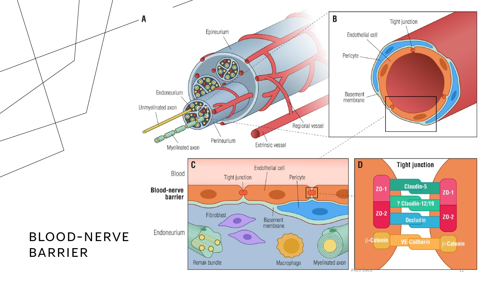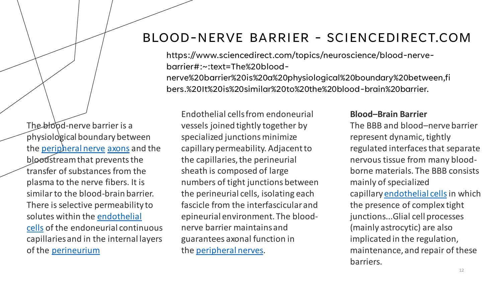## BLOOD-NERVE BARRIER - SCIENCEDIRECT.COM

https://www.sciencedirect.com/topics/neuroscience/blood-nervebarrier#:~:text=The%20bloodnerve%20barrier%20is%20a%20physiological%20boundary%20between,fi bers.%20It%20is%20similar%20to%20the%20blood-brain%20barrier.

The blood-nerve barrier is a physiological boundary between the [peripheral nerve](https://www.sciencedirect.com/topics/neuroscience/peripheral-nerve) [axons](https://www.sciencedirect.com/topics/neuroscience/axon) and the bloodstream that prevents the transfer of substances from the plasma to the nerve fibers. It is similar to the blood-brain barrier. There is selective permeability to solutes within the endothelial cells [of the endoneurial contin](https://www.sciencedirect.com/topics/medicine-and-dentistry/endothelial-cell)uous capillaries and in the internal layers of the [perineurium](https://www.sciencedirect.com/topics/medicine-and-dentistry/perineurium)

Endothelial cells from endoneurial vessels joined tightly together by specialized junctions minimize capillary permeability. Adjacent to the capillaries, the perineurial sheath is composed of large numbers of tight junctions between the perineurial cells, isolating each fascicle from the interfascicular and epineurial environment. The bloodnerve barrier maintains and guarantees axonal function in the [peripheral nerves.](https://www.sciencedirect.com/topics/neuroscience/peripheral-nerve)

#### **Blood–Brain Barrier**

The BBB and blood–nerve barrier represent dynamic, tightly regulated interfaces that separate nervous tissue from many bloodborne materials. The BBB consists mainly of specialized capillary [endothelial cells](https://www.sciencedirect.com/topics/medicine-and-dentistry/endothelial-cell) in which the presence of complex tight junctions...Glial cell processes (mainly astrocytic) are also implicated in the regulation, maintenance, and repair of these barriers.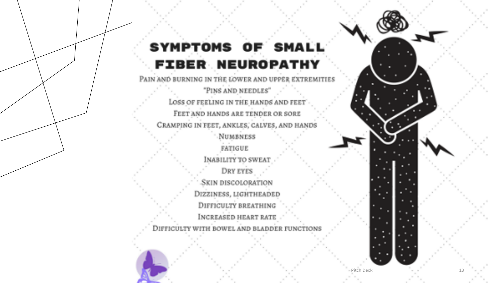## SYMPTOMS OF SMALL **FIBER NEUROPATHY**

PAIN AND BURNING IN THE LOWER AND UPPER EXTREMITIES "PINS AND NEEDLES" LOSS OF FEELING IN THE HANDS AND FEET FEET AND HANDS ARE TENDER OR SORE CRAMPING IN FEET, ANKLES, CALVES, AND HANDS **NUMBNESS FATIGUE** INABILITY TO SWEAT DRY EYES SKIN DISCOLORATION DIZZINESS, LIGHTHEADED DIFFICULTY BREATHING INCREASED HEART RATE

DIFFICULTY WITH BOWEL AND BLADDER FUNCTIONS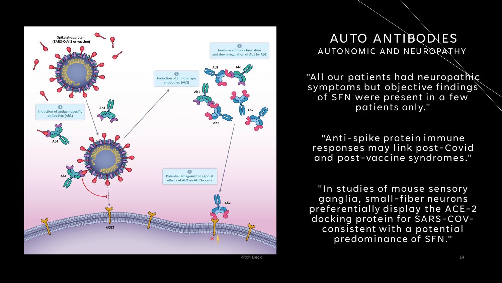

### AUTO ANTIBODIES AUTONOMIC AND NEUROPATHY

"All our patients had neuropathic symptoms but objective findings of SFN were present in a few patients only."

"Anti-spike protein immune responses may link post-Covid and post-vaccine syndromes."

"In studies of mouse sensory ganglia, small-fiber neurons preferentially display the ACE-2 docking protein for SARS-COVconsistent with a potential predominance of SFN."